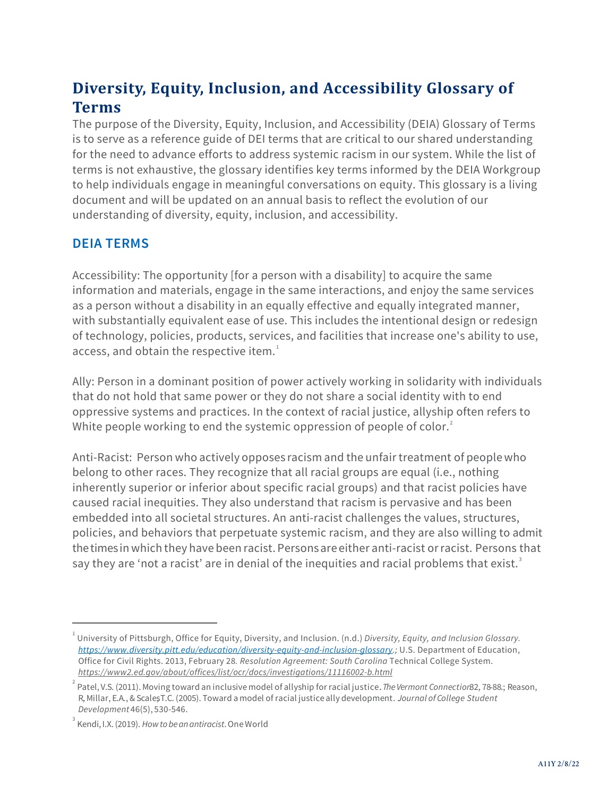## **Diversity, Equity, Inclusion, and Accessibility Glossary of Terms**

The purpose of the Diversity, Equity, Inclusion, and Accessibility (DEIA) Glossary of Terms is to serve as a reference guide of DEI terms that are critical to our shared understanding for the need to advance efforts to address systemic racism in our system. While the list of terms is not exhaustive, the glossary identifies key terms informed by the DEIA Workgroup to help individuals engage in meaningful conversations on equity. This glossary is a living document and will be updated on an annual basis to reflect the evolution of our understanding of diversity, equity, inclusion, and accessibility.

## **DEIA TERMS**

Accessibility: The opportunity [for a person with a disability] to acquire the same information and materials, engage in the same interactions, and enjoy the same services as a person without a disability in an equally effective and equally integrated manner, with substantially equivalent ease of use. This includes the intentional design or redesign of technology, policies, products, services, and facilities that increase one's ability to use, access, and obtain the respective item. $^{1}$ 

Ally: Person in a dominant position of power actively working in solidarity with individuals that do not hold that same power or they do not share a social identity with to end oppressive systems and practices. In the context of racial justice, allyship often refers to White people working to end the systemic oppression of people of color. $^{\text{2}}$ 

Anti-Racist: Person who actively opposes racism and the unfair treatment of people who belong to other races. They recognize that all racial groups are equal (i.e., nothing inherently superior or inferior about specific racial groups) and that racist policies have caused racial inequities. They also understand that racism is pervasive and has been embedded into all societal structures. An anti-racist challenges the values, structures, policies, and behaviors that perpetuate systemic racism, and they are also willing to admit thetimes in which they have been racist. Persons are either anti-racist orracist. Persons that say they are 'not a racist' are in denial of the inequities and racial problems that exist.<sup>3</sup>

<sup>1</sup> University of Pittsburgh, Office for Equity, Diversity, and Inclusion. (n.d.) *Diversity, Equity, and Inclusion Glossary. [https://www.diversity.pitt.edu/education/diversity-equity-and-inclusion-glossary.;](https://www.diversity.pitt.edu/education/diversity-equity-and-inclusion-glossary)* U.S. Department of Education, Office for Civil Rights. 2013, February 28*. Resolution Agreement: South Carolina* Technical College System. *https://www2.ed.gov/about/offices/list/ocr/docs/investigations/11116002-b.html*

<sup>2</sup> Patel, V.S. (2011). Moving toward an inclusive model of allyship for racial justice. *The Vermont Connection*32, 78-88.; Reason, R, Millar, E.A., & ScalesT.C. (2005). Toward a model of racial justice ally development. *Journal of College Student Development* 46(5), 530-546.

<sup>3</sup> Kendi, I.X.(2019). *Howtobeanantiracist*. OneWorld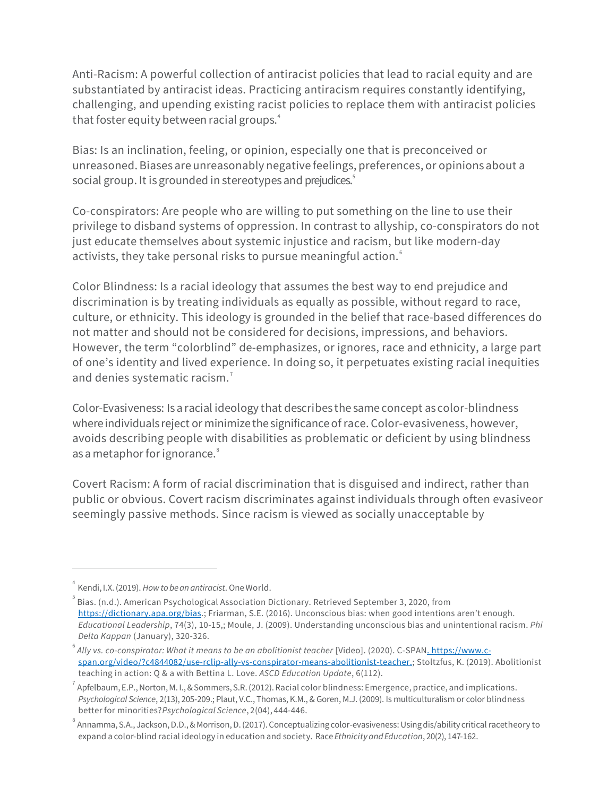Anti-Racism: A powerful collection of antiracist policies that lead to racial equity and are substantiated by antiracist ideas. Practicing antiracism requires constantly identifying, challenging, and upending existing racist policies to replace them with antiracist policies that foster equity between racial groups.<sup>4</sup>

Bias: Is an inclination, feeling, or opinion, especially one that is preconceived or unreasoned. Biases are unreasonably negative feelings, preferences, or opinions about a social group. It is grounded in stereotypes and prejudices.<sup>5</sup>

Co-conspirators: Are people who are willing to put something on the line to use their privilege to disband systems of oppression. In contrast to allyship, co-conspirators do not just educate themselves about systemic injustice and racism, but like modern-day activists, they take personal risks to pursue meaningful action. $\degree$ 

Color Blindness: Is a racial ideology that assumes the best way to end prejudice and discrimination is by treating individuals as equally as possible, without regard to race, culture, or ethnicity. This ideology is grounded in the belief that race-based differences do not matter and should not be considered for decisions, impressions, and behaviors. However, the term "colorblind" de-emphasizes, or ignores, race and ethnicity, a large part of one's identity and lived experience. In doing so, it perpetuates existing racial inequities and denies systematic racism.<sup>7</sup>

Color-Evasiveness: Is a racial ideology that describes the same concept as color-blindness where individuals reject or minimize the significance of race. Color-evasiveness, however, avoids describing people with disabilities as problematic or deficient by using blindness as a metaphor for ignorance.<sup>8</sup>

Covert Racism: A form of racial discrimination that is disguised and indirect, rather than public or obvious. Covert racism discriminates against individuals through often evasiveor seemingly passive methods. Since racism is viewed as socially unacceptable by

<sup>4</sup> Kendi, I.X.(2019). *How tobeanantiracist*. OneWorld.

 $^{\rm 5}$  Bias. (n.d.). American Psychological Association Dictionary. Retrieved September 3, 2020, from [https://dictionary.apa.org/bias.](https://dictionary.apa.org/bias); Friarman, S.E. (2016). Unconscious bias: when good intentions aren't enough. *Educational Leadership*, 74(3), 10-15,; Moule, J. (2009). Understanding unconscious bias and unintentional racism. *Phi Delta Kappan* (January), 320-326.

<sup>&</sup>lt;sup>6</sup> Ally vs. co-conspirator: What it means to be an abolitionist teacher [Video]. (2020). C-SPAN<u>. https://www.c-</u> [span.org/video/?c4844082/use-rclip-ally-vs-conspirator-means-abolitionist-teacher.](https://www.c-span.org/video/?c4844082/user-clip-ally-vs-conspirator-means-abolitionist-teacher); Stoltzfus, K. (2019). Abolitionist teaching in action: Q & a with Bettina L. Love. *ASCD Education Update*, 6(112).

 $^7$  Apfelbaum, E.P., Norton, M. I., & Sommers, S.R. (2012). Racial color blindness: Emergence, practice, and implications. *Psychological Science*, 2(13), 205-209.; Plaut, V.C., Thomas, K.M., & Goren, M.J. (2009). Is multiculturalism or color blindness better for minorities?*Psychological Science*, 2(04), 444-446.

 $^{\circ}$  Annamma, S.A., Jackson, D.D., & Morrison, D. (2017). Conceptualizing color-evasiveness: Using dis/ability critical racetheory to expand a color-blind racial ideology in education and society. Race *Ethnicity and Education*, 20(2), 147-162.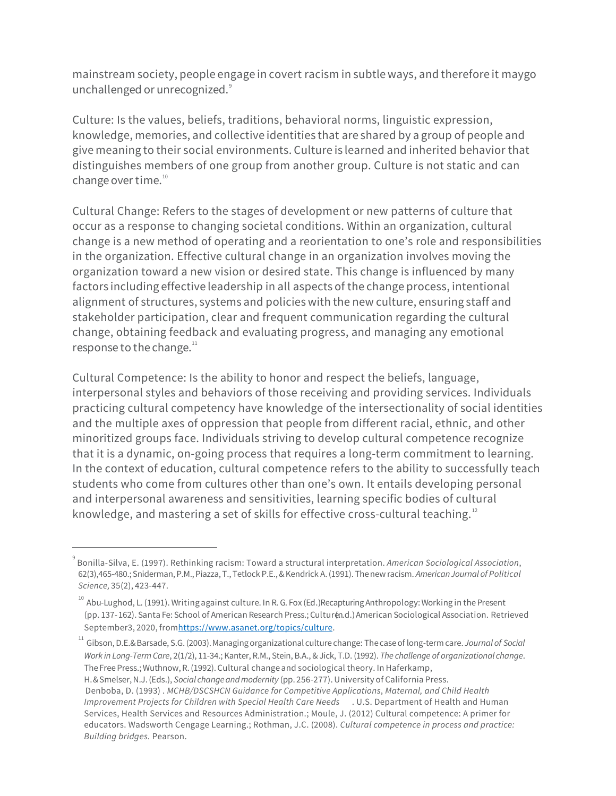mainstream society, people engage in covert racism in subtle ways, and therefore it may go unchallenged or unrecognized.<sup>9</sup>

Culture: Is the values, beliefs, traditions, behavioral norms, linguistic expression, knowledge, memories, and collective identities that are shared by a group of people and give meaning to their social environments. Culture is learned and inherited behavior that distinguishes members of one group from another group. Culture is not static and can change over time.<sup>10</sup>

Cultural Change: Refers to the stages of development or new patterns of culture that occur as a response to changing societal conditions. Within an organization, cultural change is a new method of operating and a reorientation to one's role and responsibilities in the organization. Effective cultural change in an organization involves moving the organization toward a new vision or desired state. This change is influenced by many factors including effective leadership in all aspects of the change process, intentional alignment of structures, systems and policies with the new culture, ensuring staff and stakeholder participation, clear and frequent communication regarding the cultural change, obtaining feedback and evaluating progress, and managing any emotional response to the change.<sup>11</sup>

Cultural Competence: Is the ability to honor and respect the beliefs, language, interpersonal styles and behaviors of those receiving and providing services. Individuals practicing cultural competency have knowledge of the intersectionality of social identities and the multiple axes of oppression that people from different racial, ethnic, and other minoritized groups face. Individuals striving to develop cultural competence recognize that it is a dynamic, on-going process that requires a long-term commitment to learning. In the context of education, cultural competence refers to the ability to successfully teach students who come from cultures other than one's own. It entails developing personal and interpersonal awareness and sensitivities, learning specific bodies of cultural knowledge, and mastering a set of skills for effective cross-cultural teaching. $12$ 

<sup>9</sup> Bonilla-Silva, E. (1997). Rethinking racism: Toward a structural interpretation. *American Sociological Association*, 62(3),465-480.;Sniderman,P.M.,Piazza,T., Tetlock P.E., & Kendrick A.(1991). Thenewracism. *AmericanJournal of Political Science,* 35(2), 423-447.

<sup>&</sup>lt;sup>10</sup> Abu-Lughod, L. (1991). Writing against culture. In R. G. Fox (Ed.) Recapturing Anthropology: Working in the Present (pp. 137-162). Santa Fe: School of American Research Press.; Culturen.d.) American Sociological Association. Retrieved September3, 2020, fro[mhttps://www.asanet.org/topics/culture.](https://www.asanet.org/topics/culture)

<sup>11</sup> Gibson,D.E.&Barsade, S.G.(2003).Managingorganizational culture change: Thecaseof long-termcare. *Journal of Social Work in Long-Term Care*, 2(1/2), 11-34.; Kanter, R.M., Stein, B.A., & Jick, T.D. (1992). *The challenge of organizational change*. The FreePress.;Wuthnow,R.(1992).Cultural change and sociological theory. In Haferkamp,

H. & Smelser, N.J. (Eds.), *Social changeandmodernity* (pp. 256-277).University of California Press. Denboba, D. (1993) . *MCHB/DSCSHCN Guidance for Competitive Applications*, *Maternal, and Child Health Improvement Projects for Children with Special Health Care Needs* . U.S. Department of Health and Human Services, Health Services and Resources Administration.; Moule, J. (2012) Cultural competence: A primer for educators. Wadsworth Cengage Learning.; Rothman, J.C. (2008). *Cultural competence in process and practice: Building bridges.* Pearson.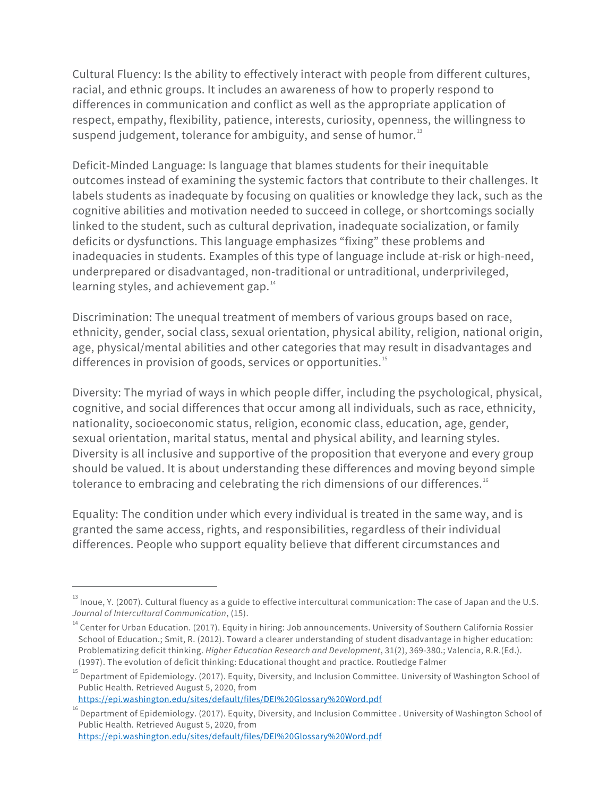Cultural Fluency: Is the ability to effectively interact with people from different cultures, racial, and ethnic groups. It includes an awareness of how to properly respond to differences in communication and conflict as well as the appropriate application of respect, empathy, flexibility, patience, interests, curiosity, openness, the willingness to suspend judgement, tolerance for ambiguity, and sense of humor. $^{\text{\tiny{13}}}$ 

Deficit-Minded Language: Is language that blames students for their inequitable outcomes instead of examining the systemic factors that contribute to their challenges. It labels students as inadequate by focusing on qualities or knowledge they lack, such as the cognitive abilities and motivation needed to succeed in college, or shortcomings socially linked to the student, such as cultural deprivation, inadequate socialization, or family deficits or dysfunctions. This language emphasizes "fixing" these problems and inadequacies in students. Examples of this type of language include at-risk or high-need, underprepared or disadvantaged, non-traditional or untraditional, underprivileged, learning styles, and achievement gap. $^{14}$ 

Discrimination: The unequal treatment of members of various groups based on race, ethnicity, gender, social class, sexual orientation, physical ability, religion, national origin, age, physical/mental abilities and other categories that may result in disadvantages and differences in provision of goods, services or opportunities.<sup>15</sup>

Diversity: The myriad of ways in which people differ, including the psychological, physical, cognitive, and social differences that occur among all individuals, such as race, ethnicity, nationality, socioeconomic status, religion, economic class, education, age, gender, sexual orientation, marital status, mental and physical ability, and learning styles. Diversity is all inclusive and supportive of the proposition that everyone and every group should be valued. It is about understanding these differences and moving beyond simple tolerance to embracing and celebrating the rich dimensions of our differences. $^{16}$ 

Equality: The condition under which every individual is treated in the same way, and is granted the same access, rights, and responsibilities, regardless of their individual differences. People who support equality believe that different circumstances and

 $^{13}$  Inoue, Y. (2007). Cultural fluency as a guide to effective intercultural communication: The case of Japan and the U.S. *Journal of Intercultural Communication*, (15).

<sup>&</sup>lt;sup>14</sup> Center for Urban Education. (2017). Equity in hiring: Job announcements. University of Southern California Rossier School of Education.; Smit, R. (2012). Toward a clearer understanding of student disadvantage in higher education: Problematizing deficit thinking. *Higher Education Research and Development*, 31(2), 369-380.; Valencia, R.R.(Ed.). (1997). The evolution of deficit thinking: Educational thought and practice. Routledge Falmer

<sup>&</sup>lt;sup>15</sup> Department of Epidemiology. (2017). Equity, Diversity, and Inclusion Committee. University of Washington School of Public Health. Retrieved August 5, 2020, from

<https://epi.washington.edu/sites/default/files/DEI%20Glossary%20Word.pdf>

 $16$  Department of Epidemiology. (2017). Equity, Diversity, and Inclusion Committee . University of Washington School of Public Health. Retrieved August 5, 2020, from <https://epi.washington.edu/sites/default/files/DEI%20Glossary%20Word.pdf>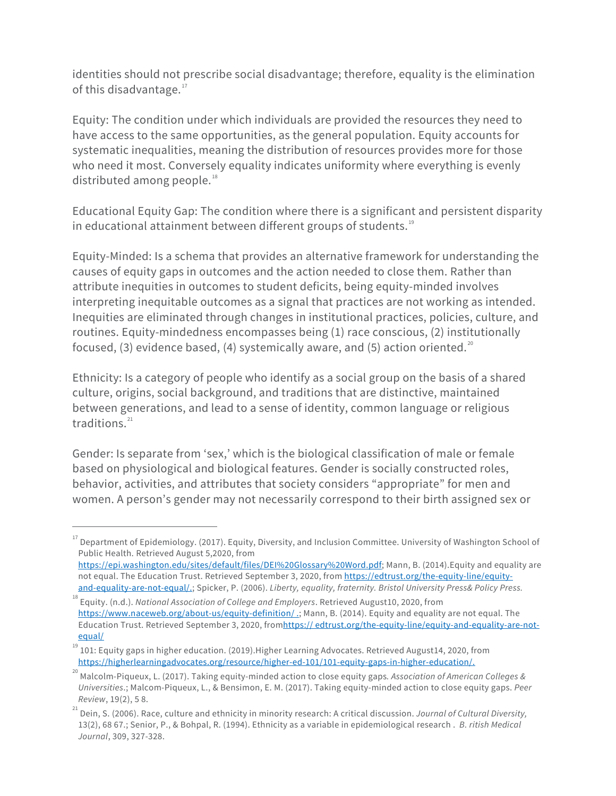identities should not prescribe social disadvantage; therefore, equality is the elimination of this disadvantage.<sup>17</sup>

Equity: The condition under which individuals are provided the resources they need to have access to the same opportunities, as the general population. Equity accounts for systematic inequalities, meaning the distribution of resources provides more for those who need it most. Conversely equality indicates uniformity where everything is evenly distributed among people.<sup>18</sup>

Educational Equity Gap: The condition where there is a significant and persistent disparity in educational attainment between different groups of students.<sup>19</sup>

Equity-Minded: Is a schema that provides an alternative framework for understanding the causes of equity gaps in outcomes and the action needed to close them. Rather than attribute inequities in outcomes to student deficits, being equity-minded involves interpreting inequitable outcomes as a signal that practices are not working as intended. Inequities are eliminated through changes in institutional practices, policies, culture, and routines. Equity-mindedness encompasses being (1) race conscious, (2) institutionally focused, (3) evidence based, (4) systemically aware, and (5) action oriented. $^{20}$ 

Ethnicity: Is a category of people who identify as a social group on the basis of a shared culture, origins, social background, and traditions that are distinctive, maintained between generations, and lead to a sense of identity, common language or religious traditions. 21

Gender: Is separate from 'sex,' which is the biological classification of male or female based on physiological and biological features. Gender is socially constructed roles, behavior, activities, and attributes that society considers "appropriate" for men and women. A person's gender may not necessarily correspond to their birth assigned sex or

<sup>&</sup>lt;sup>17</sup> Department of Epidemiology. (2017). Equity, Diversity, and Inclusion Committee. University of Washington School of Public Health. Retrieved August 5,2020, from

[https://epi.washington.edu/sites/default/files/DEI%20Glossary%20Word.pdf;](https://epi.washington.edu/sites/default/files/DEI%20Glossary%20Word.pdf) Mann, B. (2014).Equity and equality are not equal. The Education Trust. Retrieved September 3, 2020, fro[m https://edtrust.org/the-equity-line/equity](https://edtrust.org/the-equity-line/equity-and-equality-are-not-equal/)[and-equality-are-not-equal/.;](https://edtrust.org/the-equity-line/equity-and-equality-are-not-equal/) Spicker, P. (2006). *Liberty, equality, fraternity. Bristol University Press& Policy Press.*

<sup>18</sup> Equity. (n.d.). *National Association of College and Employers*. Retrieved August10, 2020, from [https://www.naceweb.org/about-us/equity-definition/ .;](https://www.naceweb.org/about-us/equity-definition/) Mann, B. (2014). Equity and equality are not equal. The Education Trust. Retrieved September 3, 2020, fro[mhttps:// edtrust.org/the-equity-line/equity-and-equality-are-not](https://edtrust.org/the-equity-line/equity-and-equality-are-not-equal/)[equal/](https://edtrust.org/the-equity-line/equity-and-equality-are-not-equal/)

<sup>19</sup> 101: Equity gaps in higher education. (2019).Higher Learning Advocates. Retrieved August14, 2020, from [https://higherlearningadvocates.org/resource/higher-ed-101/101-equity-gaps-in-higher-education/.](https://higherlearningadvocates.org/resource/higher-ed-101/101-equity-gaps-in-higher-education/)

<sup>20</sup> Malcolm-Piqueux, L. (2017). Taking equity-minded action to close equity gaps*. Association of American Colleges & Universities*.; Malcom-Piqueux, L., & Bensimon, E. M. (2017). Taking equity-minded action to close equity gaps. *Peer Review*, 19(2), 5 8.

<sup>21</sup> Dein, S. (2006). Race, culture and ethnicity in minority research: A critical discussion. *Journal of Cultural Diversity,* 13(2), 68 67.; Senior, P., & Bohpal, R. (1994). Ethnicity as a variable in epidemiological research . *B. ritish Medical Journal*, 309, 327-328.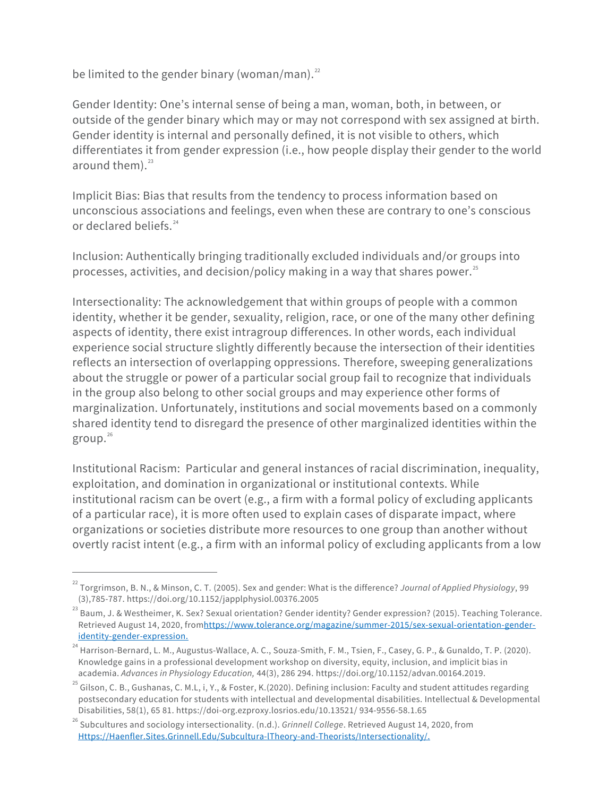be limited to the gender binary (woman/man). $^{22}$ 

Gender Identity: One's internal sense of being a man, woman, both, in between, or outside of the gender binary which may or may not correspond with sex assigned at birth. Gender identity is internal and personally defined, it is not visible to others, which differentiates it from gender expression (i.e., how people display their gender to the world around them). 23

Implicit Bias: Bias that results from the tendency to process information based on unconscious associations and feelings, even when these are contrary to one's conscious or declared beliefs.<sup>24</sup>

Inclusion: Authentically bringing traditionally excluded individuals and/or groups into processes, activities, and decision/policy making in a way that shares power. $^{25}$ 

Intersectionality: The acknowledgement that within groups of people with a common identity, whether it be gender, sexuality, religion, race, or one of the many other defining aspects of identity, there exist intragroup differences. In other words, each individual experience social structure slightly differently because the intersection of their identities reflects an intersection of overlapping oppressions. Therefore, sweeping generalizations about the struggle or power of a particular social group fail to recognize that individuals in the group also belong to other social groups and may experience other forms of marginalization. Unfortunately, institutions and social movements based on a commonly shared identity tend to disregard the presence of other marginalized identities within the group. $^{26}$ 

Institutional Racism: Particular and general instances of racial discrimination, inequality, exploitation, and domination in organizational or institutional contexts. While institutional racism can be overt (e.g., a firm with a formal policy of excluding applicants of a particular race), it is more often used to explain cases of disparate impact, where organizations or societies distribute more resources to one group than another without overtly racist intent (e.g., a firm with an informal policy of excluding applicants from a low

<sup>22</sup> Torgrimson, B. N., & Minson, C. T. (2005). Sex and gender: What is the difference? *Journal of Applied Physiology*, 99 (3),785-787. https://doi.org/10.1152/japplphysiol.00376.2005

 $^{23}$ Baum, J. & Westheimer, K. Sex? Sexual orientation? Gender identity? Gender expression? (2015). Teaching Tolerance. Retrieved August 14, 2020, fro[mhttps://www.tolerance.org/magazine/summer-2015/sex-sexual-orientation-gender](https://www.tolerance.org/magazine/summer-2015/sex-sexual-orientation-gender-identity-gender-expression)[identity-gender-expression.](https://www.tolerance.org/magazine/summer-2015/sex-sexual-orientation-gender-identity-gender-expression)

<sup>&</sup>lt;sup>24</sup> Harrison-Bernard, L. M., Augustus-Wallace, A. C., Souza-Smith, F. M., Tsien, F., Casey, G. P., & Gunaldo, T. P. (2020). Knowledge gains in a professional development workshop on diversity, equity, inclusion, and implicit bias in academia. *Advances in Physiology Education,* 44(3), 286 294. https://doi.org/10.1152/advan.00164.2019.

<sup>&</sup>lt;sup>25</sup> Gilson, C. B., Gushanas, C. M.L, i, Y., & Foster, K.(2020). Defining inclusion: Faculty and student attitudes regarding postsecondary education for students with intellectual and developmental disabilities. Intellectual & Developmental Disabilities, 58(1), 65 81. https://doi-org.ezproxy.losrios.edu/10.13521/ 934-9556-58.1.65

<sup>26</sup> Subcultures and sociology intersectionality. (n.d.). *Grinnell College*. Retrieved August 14, 2020, from [Https://Haenfler.Sites.Grinnell.Edu/Subcultura-lTheory-and-Theorists/Intersectionality/.](https://haenfler.sites.grinnell.edu/Subcultural-Theory-and-Theorists/Intersectionality/)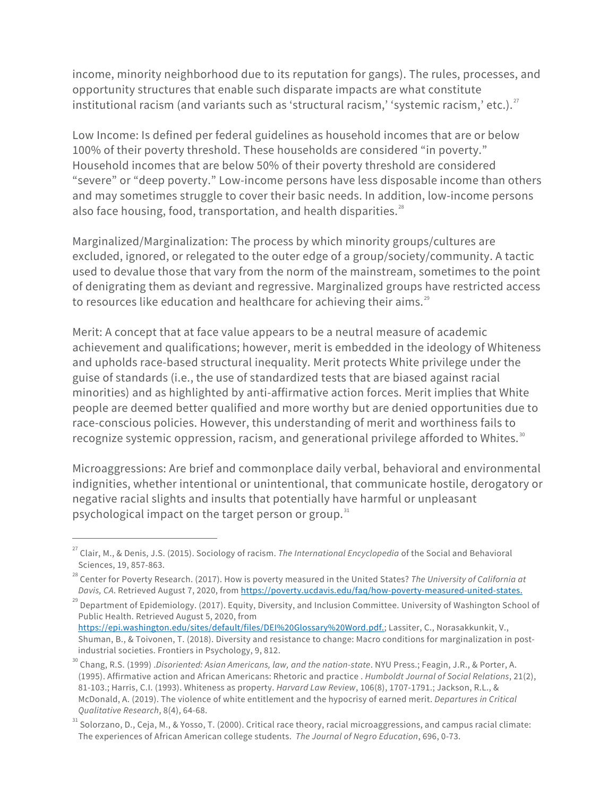income, minority neighborhood due to its reputation for gangs). The rules, processes, and opportunity structures that enable such disparate impacts are what constitute institutional racism (and variants such as 'structural racism,' 'systemic racism,' etc.). $^{27}$ 

Low Income: Is defined per federal guidelines as household incomes that are or below 100% of their poverty threshold. These households are considered "in poverty." Household incomes that are below 50% of their poverty threshold are considered "severe" or "deep poverty." Low-income persons have less disposable income than others and may sometimes struggle to cover their basic needs. In addition, low-income persons also face housing, food, transportation, and health disparities.<sup>28</sup>

Marginalized/Marginalization: The process by which minority groups/cultures are excluded, ignored, or relegated to the outer edge of a group/society/community. A tactic used to devalue those that vary from the norm of the mainstream, sometimes to the point of denigrating them as deviant and regressive. Marginalized groups have restricted access to resources like education and healthcare for achieving their aims. $^{29}$ 

Merit: A concept that at face value appears to be a neutral measure of academic achievement and qualifications; however, merit is embedded in the ideology of Whiteness and upholds race-based structural inequality. Merit protects White privilege under the guise of standards (i.e., the use of standardized tests that are biased against racial minorities) and as highlighted by anti-affirmative action forces. Merit implies that White people are deemed better qualified and more worthy but are denied opportunities due to race-conscious policies. However, this understanding of merit and worthiness fails to recognize systemic oppression, racism, and generational privilege afforded to Whites. $^{\text{30}}$ 

Microaggressions: Are brief and commonplace daily verbal, behavioral and environmental indignities, whether intentional or unintentional, that communicate hostile, derogatory or negative racial slights and insults that potentially have harmful or unpleasant psychological impact on the target person or group. $^{31}$ 

<sup>27</sup> Clair, M., & Denis, J.S. (2015). Sociology of racism. *The International Encyclopedia* of the Social and Behavioral Sciences, 19, 857-863.

<sup>28</sup> Center for Poverty Research. (2017). How is poverty measured in the United States? *The University of California at Davis, CA*. Retrieved August 7, 2020, fro[m https://poverty.ucdavis.edu/faq/how-poverty-measured-united-states](https://poverty.ucdavis.edu/faq/how-poverty-measured-united-states.).

 $^{29}$  Department of Epidemiology. (2017). Equity, Diversity, and Inclusion Committee. University of Washington School of Public Health. Retrieved August 5, 2020, from

<https://epi.washington.edu/sites/default/files/DEI%20Glossary%20Word.pdf.>; Lassiter, C., Norasakkunkit, V., Shuman, B., & Toivonen, T. (2018). Diversity and resistance to change: Macro conditions for marginalization in postindustrial societies. Frontiers in Psychology, 9, 812.

<sup>30</sup> Chang, R.S. (1999) .*Disoriented: Asian Americans, law, and the nation-state*. NYU Press.; Feagin, J.R., & Porter, A. (1995). Affirmative action and African Americans: Rhetoric and practice . *Humboldt Journal of Social Relations*, 21(2), 81-103.; Harris, C.I. (1993). Whiteness as property. *Harvard Law Review*, 106(8), 1707-1791.; Jackson, R.L., & McDonald, A. (2019). The violence of white entitlement and the hypocrisy of earned merit. *Departures in Critical Qualitative Research*, 8(4), 64-68.

 $^{31}$  Solorzano, D., Ceja, M., & Yosso, T. (2000). Critical race theory, racial microaggressions, and campus racial climate: The experiences of African American college students. *The Journal of Negro Education*, 696, 0-73.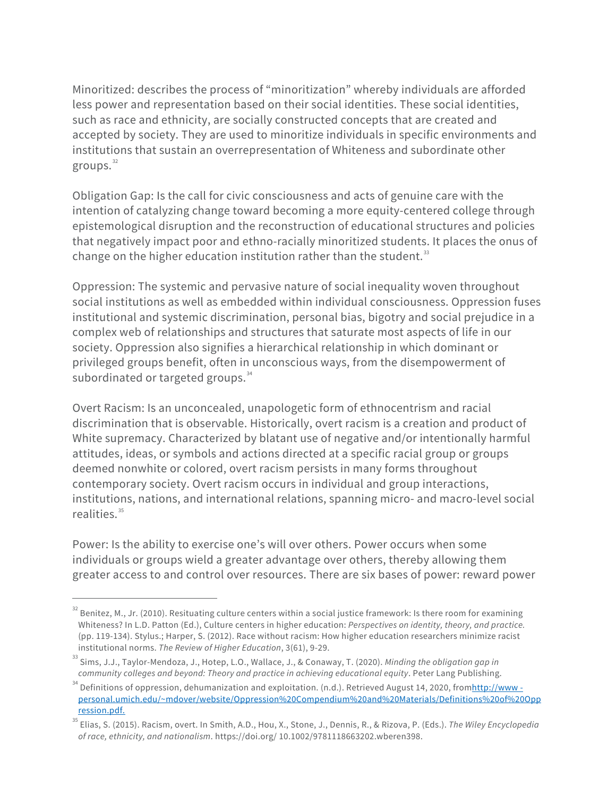Minoritized: describes the process of "minoritization" whereby individuals are afforded less power and representation based on their social identities. These social identities, such as race and ethnicity, are socially constructed concepts that are created and accepted by society. They are used to minoritize individuals in specific environments and institutions that sustain an overrepresentation of Whiteness and subordinate other groups. 32

Obligation Gap: Is the call for civic consciousness and acts of genuine care with the intention of catalyzing change toward becoming a more equity-centered college through epistemological disruption and the reconstruction of educational structures and policies that negatively impact poor and ethno-racially minoritized students. It places the onus of change on the higher education institution rather than the student. $^{\text{33}}$ 

Oppression: The systemic and pervasive nature of social inequality woven throughout social institutions as well as embedded within individual consciousness. Oppression fuses institutional and systemic discrimination, personal bias, bigotry and social prejudice in a complex web of relationships and structures that saturate most aspects of life in our society. Oppression also signifies a hierarchical relationship in which dominant or privileged groups benefit, often in unconscious ways, from the disempowerment of subordinated or targeted groups.<sup>34</sup>

Overt Racism: Is an unconcealed, unapologetic form of ethnocentrism and racial discrimination that is observable. Historically, overt racism is a creation and product of White supremacy. Characterized by blatant use of negative and/or intentionally harmful attitudes, ideas, or symbols and actions directed at a specific racial group or groups deemed nonwhite or colored, overt racism persists in many forms throughout contemporary society. Overt racism occurs in individual and group interactions, institutions, nations, and international relations, spanning micro- and macro-level social realities.<sup>35</sup>

Power: Is the ability to exercise one's will over others. Power occurs when some individuals or groups wield a greater advantage over others, thereby allowing them greater access to and control over resources. There are six bases of power: reward power

Benitez, M., Jr. (2010). Resituating culture centers within a social justice framework: Is there room for examining Whiteness? In L.D. Patton (Ed.), Culture centers in higher education: *Perspectives on identity, theory, and practice.* (pp. 119-134). Stylus.; Harper, S. (2012). Race without racism: How higher education researchers minimize racist institutional norms. *The Review of Higher Education*, 3(61), 9-29.

<sup>33</sup> Sims, J.J., Taylor-Mendoza, J., Hotep, L.O., Wallace, J., & Conaway, T. (2020). *Minding the obligation gap in community colleges and beyond: Theory and practice in achieving educational equity*. Peter Lang Publishing.

<sup>&</sup>lt;sup>34</sup> Definitions of oppression, dehumanization and exploitation. (n.d.). Retrieved August 14, 2020, from<u>http://www -</u> [personal.umich.edu/~mdover/website/Oppression%20Compendium%20and%20Materials/Definitions%20of%20Opp](http://www-personal.umich.edu/%7Emdover/website/Oppression%20Compendium%20and%20Materials/Definitions%20of%20Oppression.pdf) [ression.pdf.](http://www-personal.umich.edu/%7Emdover/website/Oppression%20Compendium%20and%20Materials/Definitions%20of%20Oppression.pdf)

<sup>35</sup> Elias, S. (2015). Racism, overt. In Smith, A.D., Hou, X., Stone, J., Dennis, R., & Rizova, P. (Eds.). *The Wiley Encyclopedia of race, ethnicity, and nationalism*. https://doi.org/ 10.1002/9781118663202.wberen398.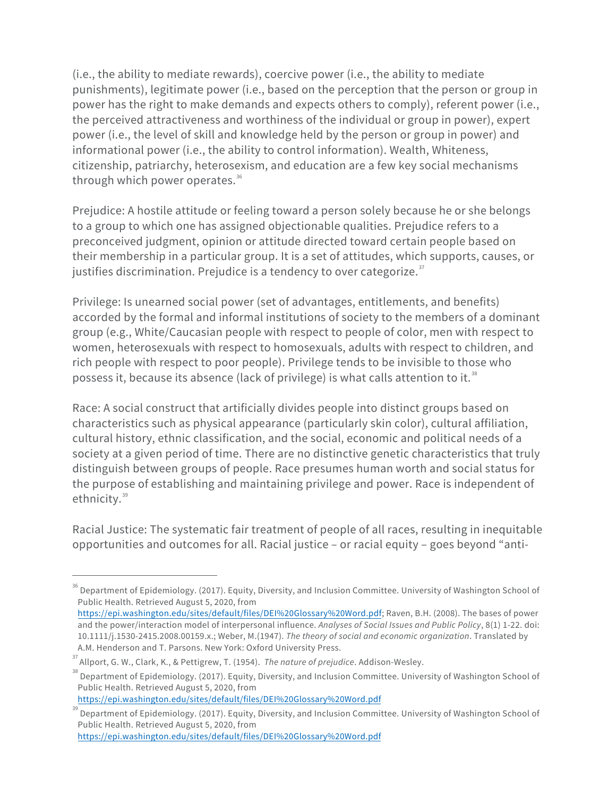(i.e., the ability to mediate rewards), coercive power (i.e., the ability to mediate punishments), legitimate power (i.e., based on the perception that the person or group in power has the right to make demands and expects others to comply), referent power (i.e., the perceived attractiveness and worthiness of the individual or group in power), expert power (i.e., the level of skill and knowledge held by the person or group in power) and informational power (i.e., the ability to control information). Wealth, Whiteness, citizenship, patriarchy, heterosexism, and education are a few key social mechanisms through which power operates.<sup>36</sup>

Prejudice: A hostile attitude or feeling toward a person solely because he or she belongs to a group to which one has assigned objectionable qualities. Prejudice refers to a preconceived judgment, opinion or attitude directed toward certain people based on their membership in a particular group. It is a set of attitudes, which supports, causes, or justifies discrimination. Prejudice is a tendency to over categorize. $^{\textrm{\tiny{37}}}$ 

Privilege: Is unearned social power (set of advantages, entitlements, and benefits) accorded by the formal and informal institutions of society to the members of a dominant group (e.g., White/Caucasian people with respect to people of color, men with respect to women, heterosexuals with respect to homosexuals, adults with respect to children, and rich people with respect to poor people). Privilege tends to be invisible to those who possess it, because its absence (lack of privilege) is what calls attention to it.<sup>38</sup>

Race: A social construct that artificially divides people into distinct groups based on characteristics such as physical appearance (particularly skin color), cultural affiliation, cultural history, ethnic classification, and the social, economic and political needs of a society at a given period of time. There are no distinctive genetic characteristics that truly distinguish between groups of people. Race presumes human worth and social status for the purpose of establishing and maintaining privilege and power. Race is independent of ethnicity.<sup>39</sup>

Racial Justice: The systematic fair treatment of people of all races, resulting in inequitable opportunities and outcomes for all. Racial justice – or racial equity – goes beyond "anti-

<sup>&</sup>lt;sup>36</sup> Department of Epidemiology. (2017). Equity, Diversity, and Inclusion Committee. University of Washington School of Public Health. Retrieved August 5, 2020, from

[https://epi.washington.edu/sites/default/files/DEI%20Glossary%20Word.pd](https://epi.washington.edu/sites/default/files/DEI%20Glossary%20Word.pdf)f; Raven, B.H. (2008). The bases of power and the power/interaction model of interpersonal influence. *Analyses of Social Issues and Public Policy*, 8(1) 1-22. doi: 10.1111/j.1530-2415.2008.00159.x.; Weber, M.(1947). *The theory of social and economic organization*. Translated by A.M. Henderson and T. Parsons. New York: Oxford University Press.

<sup>37</sup> Allport, G. W., Clark, K., & Pettigrew, T. (1954). *The nature of prejudice*. Addison-Wesley.

<sup>&</sup>lt;sup>38</sup> Department of Epidemiology. (2017). Equity, Diversity, and Inclusion Committee. University of Washington School of Public Health. Retrieved August 5, 2020, from

<https://epi.washington.edu/sites/default/files/DEI%20Glossary%20Word.pdf>

<sup>39</sup> Department of Epidemiology. (2017). Equity, Diversity, and Inclusion Committee. University of Washington School of Public Health. Retrieved August 5, 2020, from <https://epi.washington.edu/sites/default/files/DEI%20Glossary%20Word.pdf>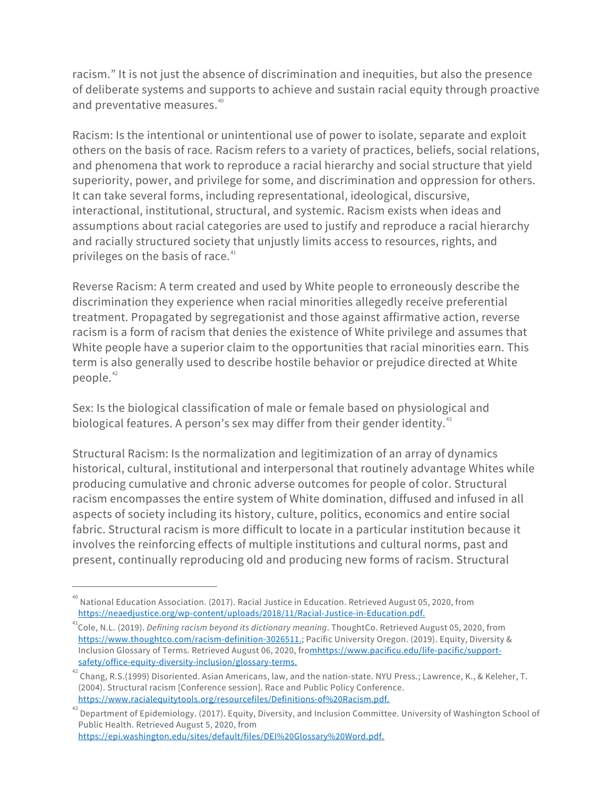racism." It is not just the absence of discrimination and inequities, but also the presence of deliberate systems and supports to achieve and sustain racial equity through proactive and preventative measures.<sup>40</sup>

Racism: Is the intentional or unintentional use of power to isolate, separate and exploit others on the basis of race. Racism refers to a variety of practices, beliefs, social relations, and phenomena that work to reproduce a racial hierarchy and social structure that yield superiority, power, and privilege for some, and discrimination and oppression for others. It can take several forms, including representational, ideological, discursive, interactional, institutional, structural, and systemic. Racism exists when ideas and assumptions about racial categories are used to justify and reproduce a racial hierarchy and racially structured society that unjustly limits access to resources, rights, and privileges on the basis of race.<sup>41</sup>

Reverse Racism: A term created and used by White people to erroneously describe the discrimination they experience when racial minorities allegedly receive preferential treatment. Propagated by segregationist and those against affirmative action, reverse racism is a form of racism that denies the existence of White privilege and assumes that White people have a superior claim to the opportunities that racial minorities earn. This term is also generally used to describe hostile behavior or prejudice directed at White people. [42](#page-9-0)

Sex: Is the biological classification of male or female based on physiological and biological features. A person's sex may differ from their gender identity.<sup>43</sup>

Structural Racism: Is the normalization and legitimization of an array of dynamics historical, cultural, institutional and interpersonal that routinely advantage Whites while producing cumulative and chronic adverse outcomes for people of color. Structural racism encompasses the entire system of White domination, diffused and infused in all aspects of society including its history, culture, politics, economics and entire social fabric. Structural racism is more difficult to locate in a particular institution because it involves the reinforcing effects of multiple institutions and cultural norms, past and present, continually reproducing old and producing new forms of racism. Structural

 $^{40}$  National Education Association. (2017). Racial Justice in Education. Retrieved August 05, 2020, from [https://neaedjustice.org/wp-content/uploads/2018/11/Racial-Justice-in-Education.pdf.](https://neaedjustice.org/wp-content/uploads/2018/11/Racial-Justice-in-Education.pdf)

<sup>&</sup>lt;sup>41</sup>Cole, N.L. (2019). *Defining racism beyond its dictionary meaning*. ThoughtCo. Retrieved August 05, 2020, from [https://www.thoughtco.com/racism-definition-3026511.](https://www.thoughtco.com/racism-definition-3026511); Pacific University Oregon. (2019). Equity, Diversity & Inclusion Glossary of Terms. Retrieved August 06, 2020, fromhttps://www.pacificu.edu/life-pacific/support-<br>safety/office-equity-diversity-inclusion/glossary-terms.

<span id="page-9-0"></span>a<sup>2</sup> Chang, R.S.(1999) Disoriented. Asian Americans, law, and the nation-state. NYU Press.; Lawrence, K., & Keleher, T. (2004). Structural racism [Conference session]. Race and Public Policy Conference. [https://www.racialequitytools.org/resourcefiles/Definitions-of%20Racism.pdf.](https://www.racialequitytools.org/resourcefiles/Definitions-of%20Racism.pdf)

<sup>43</sup> Department of Epidemiology. (2017). Equity, Diversity, and Inclusion Committee. University of Washington School of Public Health. Retrieved August 5, 2020, from [https://epi.washington.edu/sites/default/files/DEI%20Glossary%20Word.pdf.](https://epi.washington.edu/sites/default/files/DEI%20Glossary%20Word.pdf)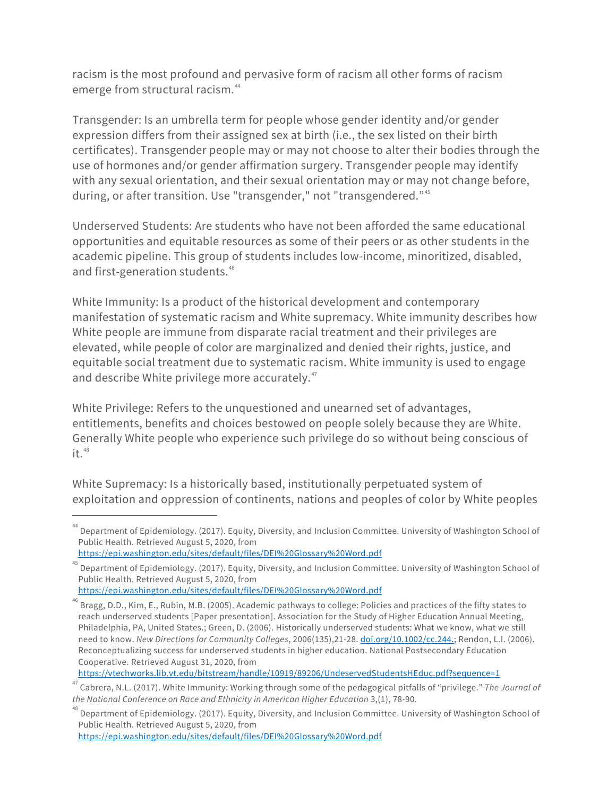racism is the most profound and pervasive form of racism all other forms of racism emerge from structural racism. 44

Transgender: Is an umbrella term for people whose gender identity and/or gender expression differs from their assigned sex at birth (i.e., the sex listed on their birth certificates). Transgender people may or may not choose to alter their bodies through the use of hormones and/or gender affirmation surgery. Transgender people may identify with any sexual orientation, and their sexual orientation may or may not change before, during, or after transition. Use "transgender," not "transgendered."<sup>45</sup>

Underserved Students: Are students who have not been afforded the same educational opportunities and equitable resources as some of their peers or as other students in the academic pipeline. This group of students includes low-income, minoritized, disabled, and first-generation students.<sup>46</sup>

White Immunity: Is a product of the historical development and contemporary manifestation of systematic racism and White supremacy. White immunity describes how White people are immune from disparate racial treatment and their privileges are elevated, while people of color are marginalized and denied their rights, justice, and equitable social treatment due to systematic racism. White immunity is used to engage and describe White privilege more accurately.<sup>47</sup>

White Privilege: Refers to the unquestioned and unearned set of advantages, entitlements, benefits and choices bestowed on people solely because they are White. Generally White people who experience such privilege do so without being conscious of it. 48

White Supremacy: Is a historically based, institutionally perpetuated system of exploitation and oppression of continents, nations and peoples of color by White peoples

<https://epi.washington.edu/sites/default/files/DEI%20Glossary%20Word.pdf>

<https://vtechworks.lib.vt.edu/bitstream/handle/10919/89206/UndeservedStudentsHEduc.pdf?sequence=1>

<sup>&</sup>lt;sup>44</sup> Department of Epidemiology. (2017). Equity, Diversity, and Inclusion Committee. University of Washington School of Public Health. Retrieved August 5, 2020, from <https://epi.washington.edu/sites/default/files/DEI%20Glossary%20Word.pdf>

 $^{45}$  Department of Epidemiology. (2017). Equity, Diversity, and Inclusion Committee. University of Washington School of Public Health. Retrieved August 5, 2020, from

<sup>46</sup> Bragg, D.D., Kim, E., Rubin, M.B. (2005). Academic pathways to college: Policies and practices of the fifty states to reach underserved students [Paper presentation]. Association for the Study of Higher Education Annual Meeting, Philadelphia, PA, United States.; Green, D. (2006). Historically underserved students: What we know, what we still need to know. *New Directions for Community Colleges*, 2006(135),21-28[. doi.org/10.1002/cc.244](https://doi.org/10.1002/cc.244).; Rendon, L.I. (2006). Reconceptualizing success for underserved students in higher education. National Postsecondary Education Cooperative. Retrieved August 31, 2020, from

<sup>47</sup> Cabrera, N.L. (2017). White Immunity: Working through some of the pedagogical pitfalls of "privilege." *The Journal of the National Conference on Race and Ethnicity in American Higher Education* 3,(1), 78-90.

<sup>48</sup> Department of Epidemiology. (2017). Equity, Diversity, and Inclusion Committee. University of Washington School of Public Health. Retrieved August 5, 2020, from <https://epi.washington.edu/sites/default/files/DEI%20Glossary%20Word.pdf>